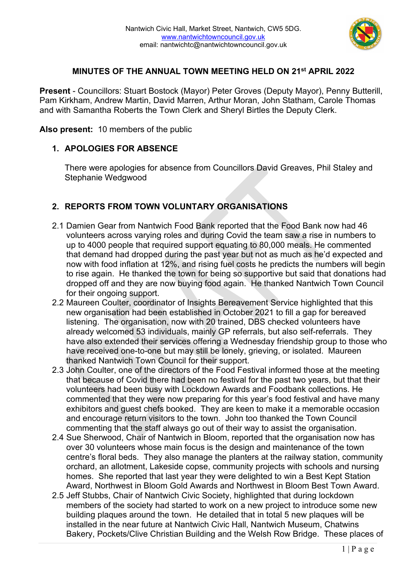

#### **MINUTES OF THE ANNUAL TOWN MEETING HELD ON 21st APRIL 2022**

**Present** - Councillors: Stuart Bostock (Mayor) Peter Groves (Deputy Mayor), Penny Butterill, Pam Kirkham, Andrew Martin, David Marren, Arthur Moran, John Statham, Carole Thomas and with Samantha Roberts the Town Clerk and Sheryl Birtles the Deputy Clerk.

**Also present:** 10 members of the public

#### **1. APOLOGIES FOR ABSENCE**

There were apologies for absence from Councillors David Greaves, Phil Staley and Stephanie Wedgwood

## **2. REPORTS FROM TOWN VOLUNTARY ORGANISATIONS**

- 2.1 Damien Gear from Nantwich Food Bank reported that the Food Bank now had 46 volunteers across varying roles and during Covid the team saw a rise in numbers to up to 4000 people that required support equating to 80,000 meals. He commented that demand had dropped during the past year but not as much as he'd expected and now with food inflation at 12%, and rising fuel costs he predicts the numbers will begin to rise again. He thanked the town for being so supportive but said that donations had dropped off and they are now buying food again. He thanked Nantwich Town Council for their ongoing support.
- 2.2 Maureen Coulter, coordinator of Insights Bereavement Service highlighted that this new organisation had been established in October 2021 to fill a gap for bereaved listening. The organisation, now with 20 trained, DBS checked volunteers have already welcomed 53 individuals, mainly GP referrals, but also self-referrals. They have also extended their services offering a Wednesday friendship group to those who have received one-to-one but may still be lonely, grieving, or isolated. Maureen thanked Nantwich Town Council for their support.
- 2.3 John Coulter, one of the directors of the Food Festival informed those at the meeting that because of Covid there had been no festival for the past two years, but that their volunteers had been busy with Lockdown Awards and Foodbank collections. He commented that they were now preparing for this year's food festival and have many exhibitors and guest chefs booked. They are keen to make it a memorable occasion and encourage return visitors to the town. John too thanked the Town Council commenting that the staff always go out of their way to assist the organisation.
- 2.4 Sue Sherwood, Chair of Nantwich in Bloom, reported that the organisation now has over 30 volunteers whose main focus is the design and maintenance of the town centre's floral beds. They also manage the planters at the railway station, community orchard, an allotment, Lakeside copse, community projects with schools and nursing homes. She reported that last year they were delighted to win a Best Kept Station Award, Northwest in Bloom Gold Awards and Northwest in Bloom Best Town Award.
- 2.5 Jeff Stubbs, Chair of Nantwich Civic Society, highlighted that during lockdown members of the society had started to work on a new project to introduce some new building plaques around the town. He detailed that in total 5 new plaques will be installed in the near future at Nantwich Civic Hall, Nantwich Museum, Chatwins Bakery, Pockets/Clive Christian Building and the Welsh Row Bridge. These places of